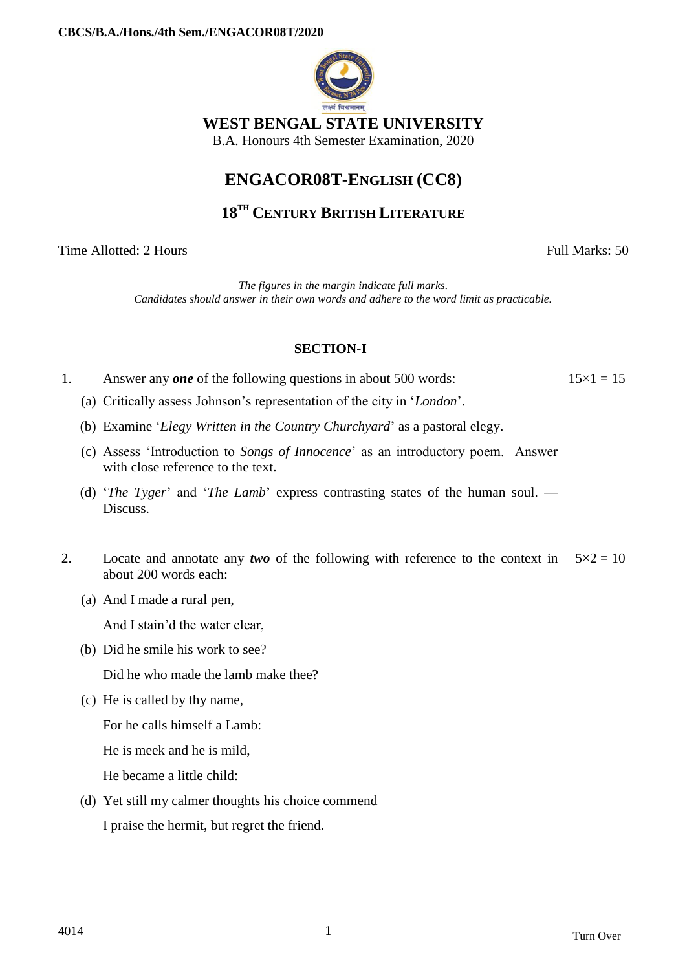

### **WEST BENGAL STATE UNIVERSITY**

B.A. Honours 4th Semester Examination, 2020

# **ENGACOR08T-ENGLISH (CC8)**

## **18TH CENTURY BRITISH LITERATURE**

Time Allotted: 2 Hours Full Marks: 50

*The figures in the margin indicate full marks. Candidates should answer in their own words and adhere to the word limit as practicable.*

## **SECTION-I**

- 1. Answer any *one* of the following questions in about 500 words:  $15 \times 1 = 15$ 
	- (a) Critically assess Johnson's representation of the city in '*London*'.
	- (b) Examine '*Elegy Written in the Country Churchyard*' as a pastoral elegy.
	- (c) Assess 'Introduction to *Songs of Innocence*' as an introductory poem. Answer with close reference to the text.
	- (d) '*The Tyger*' and '*The Lamb*' express contrasting states of the human soul. Discuss.
- 2. Locate and annotate any *two* of the following with reference to the context in  $5 \times 2 = 10$ about 200 words each:
	- (a) And I made a rural pen,

And I stain'd the water clear,

(b) Did he smile his work to see?

Did he who made the lamb make thee?

(c) He is called by thy name,

For he calls himself a Lamb:

He is meek and he is mild,

He became a little child:

(d) Yet still my calmer thoughts his choice commend

I praise the hermit, but regret the friend.